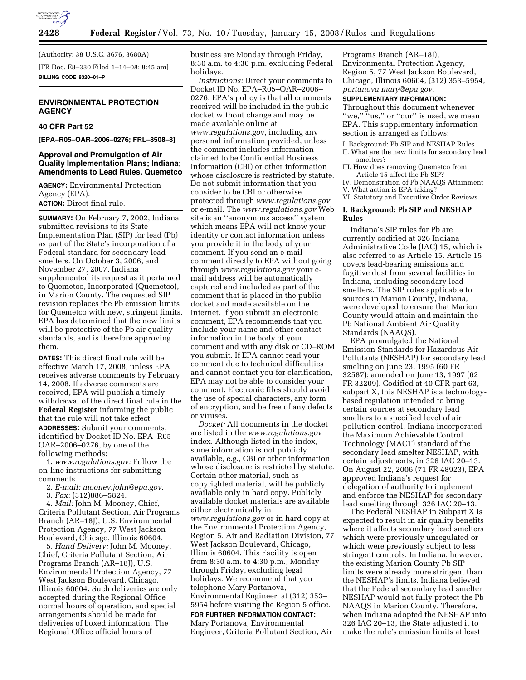

(Authority: 38 U.S.C. 3676, 3680A)

[FR Doc. E8–330 Filed 1–14–08; 8:45 am] **BILLING CODE 8320–01–P** 

## **ENVIRONMENTAL PROTECTION AGENCY**

## **40 CFR Part 52**

**[EPA–R05–OAR–2006–0276; FRL–8508–8]** 

# **Approval and Promulgation of Air Quality Implementation Plans; Indiana; Amendments to Lead Rules, Quemetco**

**AGENCY:** Environmental Protection Agency (EPA). **ACTION:** Direct final rule.

**SUMMARY:** On February 7, 2002, Indiana submitted revisions to its State Implementation Plan (SIP) for lead (Pb) as part of the State's incorporation of a Federal standard for secondary lead smelters. On October 3, 2006, and November 27, 2007, Indiana supplemented its request as it pertained to Quemetco, Incorporated (Quemetco), in Marion County. The requested SIP revision replaces the Pb emission limits for Quemetco with new, stringent limits. EPA has determined that the new limits will be protective of the Pb air quality standards, and is therefore approving them.

**DATES:** This direct final rule will be effective March 17, 2008, unless EPA receives adverse comments by February 14, 2008. If adverse comments are received, EPA will publish a timely withdrawal of the direct final rule in the **Federal Register** informing the public that the rule will not take effect. **ADDRESSES:** Submit your comments, identified by Docket ID No. EPA–R05– OAR–2006–0276, by one of the following methods:

1. *www.regulations.gov:* Follow the on-line instructions for submitting comments.

- 2. *E-mail: mooney.john@epa.gov.*
- 3. *Fax:* (312)886–5824.

4. *Mail:* John M. Mooney, Chief, Criteria Pollutant Section, Air Programs Branch (AR–18J), U.S. Environmental Protection Agency, 77 West Jackson Boulevard, Chicago, Illinois 60604.

5. *Hand Delivery:* John M. Mooney, Chief, Criteria Pollutant Section, Air Programs Branch (AR–18J), U.S. Environmental Protection Agency, 77 West Jackson Boulevard, Chicago, Illinois 60604. Such deliveries are only accepted during the Regional Office normal hours of operation, and special arrangements should be made for deliveries of boxed information. The Regional Office official hours of

business are Monday through Friday, 8:30 a.m. to 4:30 p.m. excluding Federal holidays.

*Instructions:* Direct your comments to Docket ID No. EPA–R05–OAR–2006– 0276. EPA's policy is that all comments received will be included in the public docket without change and may be made available online at *www.regulations.gov*, including any personal information provided, unless the comment includes information claimed to be Confidential Business Information (CBI) or other information whose disclosure is restricted by statute. Do not submit information that you consider to be CBI or otherwise protected through *www.regulations.gov*  or e-mail. The *www.regulations.gov* Web site is an ''anonymous access'' system, which means EPA will not know your identity or contact information unless you provide it in the body of your comment. If you send an e-mail comment directly to EPA without going through *www.regulations.gov* your email address will be automatically captured and included as part of the comment that is placed in the public docket and made available on the Internet. If you submit an electronic comment, EPA recommends that you include your name and other contact information in the body of your comment and with any disk or CD–ROM you submit. If EPA cannot read your comment due to technical difficulties and cannot contact you for clarification, EPA may not be able to consider your comment. Electronic files should avoid the use of special characters, any form of encryption, and be free of any defects or viruses.

*Docket:* All documents in the docket are listed in the *www.regulations.gov*  index. Although listed in the index, some information is not publicly available, e.g., CBI or other information whose disclosure is restricted by statute. Certain other material, such as copyrighted material, will be publicly available only in hard copy. Publicly available docket materials are available either electronically in *www.regulations.gov* or in hard copy at the Environmental Protection Agency, Region 5, Air and Radiation Division, 77 West Jackson Boulevard, Chicago, Illinois 60604. This Facility is open from 8:30 a.m. to 4:30 p.m., Monday through Friday, excluding legal holidays. We recommend that you telephone Mary Portanova, Environmental Engineer, at (312) 353– 5954 before visiting the Region 5 office.

**FOR FURTHER INFORMATION CONTACT:**  Mary Portanova, Environmental Engineer, Criteria Pollutant Section, Air

Programs Branch (AR–18J), Environmental Protection Agency, Region 5, 77 West Jackson Boulevard, Chicago, Illinois 60604, (312) 353–5954, *portanova.mary@epa.gov.* 

### **SUPPLEMENTARY INFORMATION:**

Throughout this document whenever "we," "us," or "our" is used, we mean EPA. This supplementary information section is arranged as follows:

- I. Background: Pb SIP and NESHAP Rules II. What are the new limits for secondary lead smelters?
- III. How does removing Quemetco from Article 15 affect the Pb SIP?
- IV. Demonstration of Pb NAAQS Attainment
- V. What action is EPA taking?
- VI. Statutory and Executive Order Reviews

### **I. Background: Pb SIP and NESHAP Rules**

Indiana's SIP rules for Pb are currently codified at 326 Indiana Administrative Code (IAC) 15, which is also referred to as Article 15. Article 15 covers lead-bearing emissions and fugitive dust from several facilities in Indiana, including secondary lead smelters. The SIP rules applicable to sources in Marion County, Indiana, were developed to ensure that Marion County would attain and maintain the Pb National Ambient Air Quality Standards (NAAQS).

EPA promulgated the National Emission Standards for Hazardous Air Pollutants (NESHAP) for secondary lead smelting on June 23, 1995 (60 FR 32587); amended on June 13, 1997 (62 FR 32209). Codified at 40 CFR part 63, subpart X, this NESHAP is a technologybased regulation intended to bring certain sources at secondary lead smelters to a specified level of air pollution control. Indiana incorporated the Maximum Achievable Control Technology (MACT) standard of the secondary lead smelter NESHAP, with certain adjustments, in 326 IAC 20–13. On August 22, 2006 (71 FR 48923), EPA approved Indiana's request for delegation of authority to implement and enforce the NESHAP for secondary lead smelting through 326 IAC 20–13.

The Federal NESHAP in Subpart X is expected to result in air quality benefits where it affects secondary lead smelters which were previously unregulated or which were previously subject to less stringent controls. In Indiana, however, the existing Marion County Pb SIP limits were already more stringent than the NESHAP's limits. Indiana believed that the Federal secondary lead smelter NESHAP would not fully protect the Pb NAAQS in Marion County. Therefore, when Indiana adopted the NESHAP into 326 IAC 20–13, the State adjusted it to make the rule's emission limits at least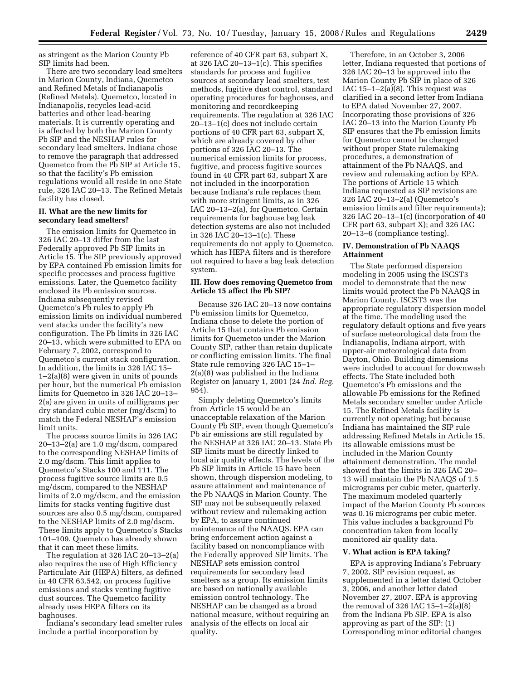as stringent as the Marion County Pb SIP limits had been.

There are two secondary lead smelters in Marion County, Indiana, Quemetco and Refined Metals of Indianapolis (Refined Metals). Quemetco, located in Indianapolis, recycles lead-acid batteries and other lead-bearing materials. It is currently operating and is affected by both the Marion County Pb SIP and the NESHAP rules for secondary lead smelters. Indiana chose to remove the paragraph that addressed Quemetco from the Pb SIP at Article 15, so that the facility's Pb emission regulations would all reside in one State rule, 326 IAC 20–13. The Refined Metals facility has closed.

### **II. What are the new limits for secondary lead smelters?**

The emission limits for Quemetco in 326 IAC 20–13 differ from the last Federally approved Pb SIP limits in Article 15. The SIP previously approved by EPA contained Pb emission limits for specific processes and process fugitive emissions. Later, the Quemetco facility enclosed its Pb emission sources. Indiana subsequently revised Quemetco's Pb rules to apply Pb emission limits on individual numbered vent stacks under the facility's new configuration. The Pb limits in 326 IAC 20–13, which were submitted to EPA on February 7, 2002, correspond to Quemetco's current stack configuration. In addition, the limits in 326 IAC 15– 1–2(a)(8) were given in units of pounds per hour, but the numerical Pb emission limits for Quemetco in 326 IAC 20–13– 2(a) are given in units of milligrams per dry standard cubic meter (mg/dscm) to match the Federal NESHAP's emission limit units.

The process source limits in 326 IAC 20–13–2(a) are 1.0 mg/dscm, compared to the corresponding NESHAP limits of 2.0 mg/dscm. This limit applies to Quemetco's Stacks 100 and 111. The process fugitive source limits are 0.5 mg/dscm, compared to the NESHAP limits of 2.0 mg/dscm, and the emission limits for stacks venting fugitive dust sources are also 0.5 mg/dscm, compared to the NESHAP limits of 2.0 mg/dscm. These limits apply to Quemetco's Stacks 101–109. Quemetco has already shown that it can meet these limits.

The regulation at 326 IAC 20–13–2(a) also requires the use of High Efficiency Particulate Air (HEPA) filters, as defined in 40 CFR 63.542, on process fugitive emissions and stacks venting fugitive dust sources. The Quemetco facility already uses HEPA filters on its baghouses.

Indiana's secondary lead smelter rules include a partial incorporation by

reference of 40 CFR part 63, subpart X, at 326 IAC 20 $-13-1(c)$ . This specifies standards for process and fugitive sources at secondary lead smelters, test methods, fugitive dust control, standard operating procedures for baghouses, and monitoring and recordkeeping requirements. The regulation at 326 IAC 20–13–1(c) does not include certain portions of 40 CFR part 63, subpart X, which are already covered by other portions of 326 IAC 20–13. The numerical emission limits for process, fugitive, and process fugitive sources found in 40 CFR part 63, subpart X are not included in the incorporation because Indiana's rule replaces them with more stringent limits, as in 326 IAC 20–13–2(a), for Quemetco. Certain requirements for baghouse bag leak detection systems are also not included in 326 IAC 20–13–1(c). These requirements do not apply to Quemetco, which has HEPA filters and is therefore not required to have a bag leak detection system.

### **III. How does removing Quemetco from Article 15 affect the Pb SIP?**

Because 326 IAC 20–13 now contains Pb emission limits for Quemetco, Indiana chose to delete the portion of Article 15 that contains Pb emission limits for Quemetco under the Marion County SIP, rather than retain duplicate or conflicting emission limits. The final State rule removing 326 IAC 15–1– 2(a)(8) was published in the Indiana Register on January 1, 2001 (24 *Ind. Reg.*  954).

Simply deleting Quemetco's limits from Article 15 would be an unacceptable relaxation of the Marion County Pb SIP, even though Quemetco's Pb air emissions are still regulated by the NESHAP at 326 IAC 20–13. State Pb SIP limits must be directly linked to local air quality effects. The levels of the Pb SIP limits in Article 15 have been shown, through dispersion modeling, to assure attainment and maintenance of the Pb NAAQS in Marion County. The SIP may not be subsequently relaxed without review and rulemaking action by EPA, to assure continued maintenance of the NAAQS. EPA can bring enforcement action against a facility based on noncompliance with the Federally approved SIP limits. The NESHAP sets emission control requirements for secondary lead smelters as a group. Its emission limits are based on nationally available emission control technology. The NESHAP can be changed as a broad national measure, without requiring an analysis of the effects on local air quality.

Therefore, in an October 3, 2006 letter, Indiana requested that portions of 326 IAC 20–13 be approved into the Marion County Pb SIP in place of 326 IAC  $15-1-2(a)(8)$ . This request was clarified in a second letter from Indiana to EPA dated November 27, 2007. Incorporating those provisions of 326 IAC 20–13 into the Marion County Pb SIP ensures that the Pb emission limits for Quemetco cannot be changed without proper State rulemaking procedures, a demonstration of attainment of the Pb NAAQS, and review and rulemaking action by EPA. The portions of Article 15 which Indiana requested as SIP revisions are 326 IAC 20–13–2(a) (Quemetco's emission limits and filter requirements); 326 IAC 20–13–1(c) (incorporation of 40 CFR part 63, subpart X); and 326 IAC 20–13–6 (compliance testing).

### **IV. Demonstration of Pb NAAQS Attainment**

The State performed dispersion modeling in 2005 using the ISCST3 model to demonstrate that the new limits would protect the Pb NAAQS in Marion County. ISCST3 was the appropriate regulatory dispersion model at the time. The modeling used the regulatory default options and five years of surface meteorological data from the Indianapolis, Indiana airport, with upper-air meteorological data from Dayton, Ohio. Building dimensions were included to account for downwash effects. The State included both Quemetco's Pb emissions and the allowable Pb emissions for the Refined Metals secondary smelter under Article 15. The Refined Metals facility is currently not operating; but because Indiana has maintained the SIP rule addressing Refined Metals in Article 15, its allowable emissions must be included in the Marion County attainment demonstration. The model showed that the limits in 326 IAC 20– 13 will maintain the Pb NAAQS of 1.5 micrograms per cubic meter, quarterly. The maximum modeled quarterly impact of the Marion County Pb sources was 0.16 micrograms per cubic meter. This value includes a background Pb concentration taken from locally monitored air quality data.

## **V. What action is EPA taking?**

EPA is approving Indiana's February 7, 2002, SIP revision request, as supplemented in a letter dated October 3, 2006, and another letter dated November 27, 2007. EPA is approving the removal of 326 IAC  $15-1-2(a)(8)$ from the Indiana Pb SIP. EPA is also approving as part of the SIP: (1) Corresponding minor editorial changes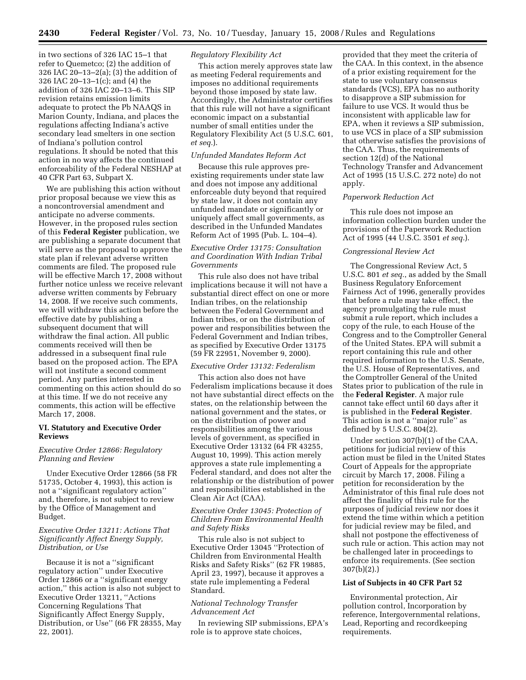in two sections of 326 IAC 15–1 that refer to Quemetco; (2) the addition of 326 IAC 20–13–2(a); (3) the addition of 326 IAC 20–13–1(c); and (4) the addition of 326 IAC 20–13–6. This SIP revision retains emission limits adequate to protect the Pb NAAQS in Marion County, Indiana, and places the regulations affecting Indiana's active secondary lead smelters in one section of Indiana's pollution control regulations. It should be noted that this action in no way affects the continued enforceability of the Federal NESHAP at 40 CFR Part 63, Subpart X.

We are publishing this action without prior proposal because we view this as a noncontroversial amendment and anticipate no adverse comments. However, in the proposed rules section of this **Federal Register** publication, we are publishing a separate document that will serve as the proposal to approve the state plan if relevant adverse written comments are filed. The proposed rule will be effective March 17, 2008 without further notice unless we receive relevant adverse written comments by February 14, 2008. If we receive such comments, we will withdraw this action before the effective date by publishing a subsequent document that will withdraw the final action. All public comments received will then be addressed in a subsequent final rule based on the proposed action. The EPA will not institute a second comment period. Any parties interested in commenting on this action should do so at this time. If we do not receive any comments, this action will be effective March 17, 2008.

## **VI. Statutory and Executive Order Reviews**

## *Executive Order 12866: Regulatory Planning and Review*

Under Executive Order 12866 (58 FR 51735, October 4, 1993), this action is not a ''significant regulatory action'' and, therefore, is not subject to review by the Office of Management and Budget.

## *Executive Order 13211: Actions That Significantly Affect Energy Supply, Distribution, or Use*

Because it is not a ''significant regulatory action'' under Executive Order 12866 or a ''significant energy action,'' this action is also not subject to Executive Order 13211, ''Actions Concerning Regulations That Significantly Affect Energy Supply, Distribution, or Use'' (66 FR 28355, May 22, 2001).

## *Regulatory Flexibility Act*

This action merely approves state law as meeting Federal requirements and imposes no additional requirements beyond those imposed by state law. Accordingly, the Administrator certifies that this rule will not have a significant economic impact on a substantial number of small entities under the Regulatory Flexibility Act (5 U.S.C. 601, *et seq.*).

## *Unfunded Mandates Reform Act*

Because this rule approves preexisting requirements under state law and does not impose any additional enforceable duty beyond that required by state law, it does not contain any unfunded mandate or significantly or uniquely affect small governments, as described in the Unfunded Mandates Reform Act of 1995 (Pub. L. 104–4).

## *Executive Order 13175: Consultation and Coordination With Indian Tribal Governments*

This rule also does not have tribal implications because it will not have a substantial direct effect on one or more Indian tribes, on the relationship between the Federal Government and Indian tribes, or on the distribution of power and responsibilities between the Federal Government and Indian tribes, as specified by Executive Order 13175 (59 FR 22951, November 9, 2000).

#### *Executive Order 13132: Federalism*

This action also does not have Federalism implications because it does not have substantial direct effects on the states, on the relationship between the national government and the states, or on the distribution of power and responsibilities among the various levels of government, as specified in Executive Order 13132 (64 FR 43255, August 10, 1999). This action merely approves a state rule implementing a Federal standard, and does not alter the relationship or the distribution of power and responsibilities established in the Clean Air Act (CAA).

## *Executive Order 13045: Protection of Children From Environmental Health and Safety Risks*

This rule also is not subject to Executive Order 13045 ''Protection of Children from Environmental Health Risks and Safety Risks'' (62 FR 19885, April 23, 1997), because it approves a state rule implementing a Federal Standard.

## *National Technology Transfer Advancement Act*

In reviewing SIP submissions, EPA's role is to approve state choices,

provided that they meet the criteria of the CAA. In this context, in the absence of a prior existing requirement for the state to use voluntary consensus standards (VCS), EPA has no authority to disapprove a SIP submission for failure to use VCS. It would thus be inconsistent with applicable law for EPA, when it reviews a SIP submission, to use VCS in place of a SIP submission that otherwise satisfies the provisions of the CAA. Thus, the requirements of section 12(d) of the National Technology Transfer and Advancement Act of 1995 (15 U.S.C. 272 note) do not apply.

#### *Paperwork Reduction Act*

This rule does not impose an information collection burden under the provisions of the Paperwork Reduction Act of 1995 (44 U.S.C. 3501 *et seq.*).

#### *Congressional Review Act*

The Congressional Review Act, 5 U.S.C. 801 *et seq.*, as added by the Small Business Regulatory Enforcement Fairness Act of 1996, generally provides that before a rule may take effect, the agency promulgating the rule must submit a rule report, which includes a copy of the rule, to each House of the Congress and to the Comptroller General of the United States. EPA will submit a report containing this rule and other required information to the U.S. Senate, the U.S. House of Representatives, and the Comptroller General of the United States prior to publication of the rule in the **Federal Register**. A major rule cannot take effect until 60 days after it is published in the **Federal Register**. This action is not a ''major rule'' as defined by 5 U.S.C. 804(2).

Under section 307(b)(1) of the CAA, petitions for judicial review of this action must be filed in the United States Court of Appeals for the appropriate circuit by March 17, 2008. Filing a petition for reconsideration by the Administrator of this final rule does not affect the finality of this rule for the purposes of judicial review nor does it extend the time within which a petition for judicial review may be filed, and shall not postpone the effectiveness of such rule or action. This action may not be challenged later in proceedings to enforce its requirements. (See section 307(b)(2).)

#### **List of Subjects in 40 CFR Part 52**

Environmental protection, Air pollution control, Incorporation by reference, Intergovernmental relations, Lead, Reporting and recordkeeping requirements.